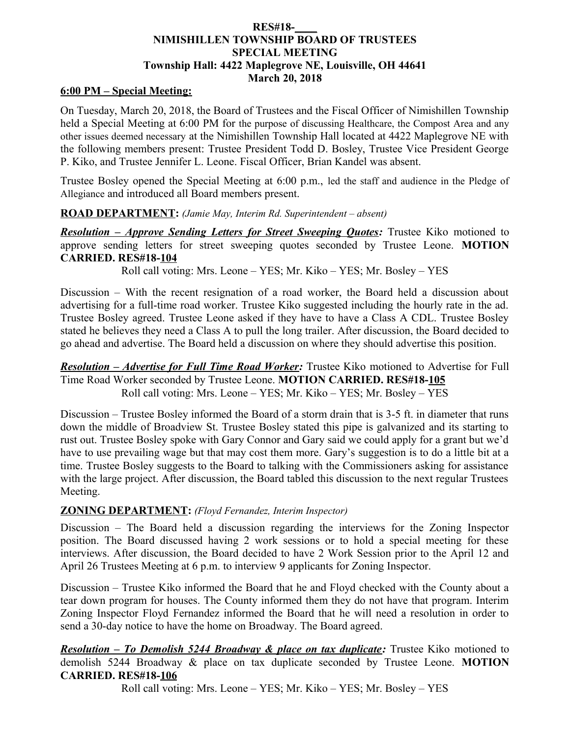# **RES#18-\_\_\_\_ NIMISHILLEN TOWNSHIP BOARD OF TRUSTEES SPECIAL MEETING Township Hall: 4422 Maplegrove NE, Louisville, OH 44641 March 20, 2018**

# **6:00 PM – Special Meeting:**

On Tuesday, March 20, 2018, the Board of Trustees and the Fiscal Officer of Nimishillen Township held a Special Meeting at 6:00 PM for the purpose of discussing Healthcare, the Compost Area and any other issues deemed necessary at the Nimishillen Township Hall located at 4422 Maplegrove NE with the following members present: Trustee President Todd D. Bosley, Trustee Vice President George P. Kiko, and Trustee Jennifer L. Leone. Fiscal Officer, Brian Kandel was absent.

Trustee Bosley opened the Special Meeting at 6:00 p.m., led the staff and audience in the Pledge of Allegiance and introduced all Board members present.

### **ROAD DEPARTMENT:** *(Jamie May, Interim Rd. Superintendent – absent)*

*Resolution – Approve Sending Letters for Street Sweeping Quotes:* Trustee Kiko motioned to approve sending letters for street sweeping quotes seconded by Trustee Leone. **MOTION CARRIED. RES#18-104**

Roll call voting: Mrs. Leone – YES; Mr. Kiko – YES; Mr. Bosley – YES

Discussion – With the recent resignation of a road worker, the Board held a discussion about advertising for a full-time road worker. Trustee Kiko suggested including the hourly rate in the ad. Trustee Bosley agreed. Trustee Leone asked if they have to have a Class A CDL. Trustee Bosley stated he believes they need a Class A to pull the long trailer. After discussion, the Board decided to go ahead and advertise. The Board held a discussion on where they should advertise this position.

*Resolution – Advertise for Full Time Road Worker:* Trustee Kiko motioned to Advertise for Full Time Road Worker seconded by Trustee Leone. **MOTION CARRIED. RES#18-105** Roll call voting: Mrs. Leone – YES; Mr. Kiko – YES; Mr. Bosley – YES

Discussion – Trustee Bosley informed the Board of a storm drain that is 3-5 ft. in diameter that runs down the middle of Broadview St. Trustee Bosley stated this pipe is galvanized and its starting to rust out. Trustee Bosley spoke with Gary Connor and Gary said we could apply for a grant but we'd have to use prevailing wage but that may cost them more. Gary's suggestion is to do a little bit at a time. Trustee Bosley suggests to the Board to talking with the Commissioners asking for assistance with the large project. After discussion, the Board tabled this discussion to the next regular Trustees Meeting.

# **ZONING DEPARTMENT:** *(Floyd Fernandez, Interim Inspector)*

Discussion – The Board held a discussion regarding the interviews for the Zoning Inspector position. The Board discussed having 2 work sessions or to hold a special meeting for these interviews. After discussion, the Board decided to have 2 Work Session prior to the April 12 and April 26 Trustees Meeting at 6 p.m. to interview 9 applicants for Zoning Inspector.

Discussion – Trustee Kiko informed the Board that he and Floyd checked with the County about a tear down program for houses. The County informed them they do not have that program. Interim Zoning Inspector Floyd Fernandez informed the Board that he will need a resolution in order to send a 30-day notice to have the home on Broadway. The Board agreed.

*Resolution – To Demolish 5244 Broadway & place on tax duplicate:* Trustee Kiko motioned to demolish 5244 Broadway & place on tax duplicate seconded by Trustee Leone. **MOTION CARRIED. RES#18-106**

Roll call voting: Mrs. Leone – YES; Mr. Kiko – YES; Mr. Bosley – YES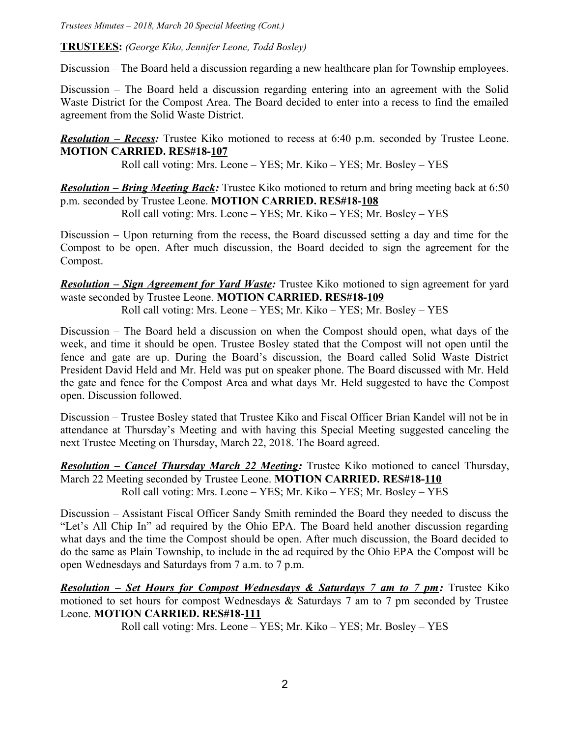*Trustees Minutes – 2018, March 20 Special Meeting (Cont.)*

**TRUSTEES:** *(George Kiko, Jennifer Leone, Todd Bosley)*

Discussion – The Board held a discussion regarding a new healthcare plan for Township employees.

Discussion – The Board held a discussion regarding entering into an agreement with the Solid Waste District for the Compost Area. The Board decided to enter into a recess to find the emailed agreement from the Solid Waste District.

*Resolution – Recess:* Trustee Kiko motioned to recess at 6:40 p.m. seconded by Trustee Leone. **MOTION CARRIED. RES#18-107**

Roll call voting: Mrs. Leone – YES; Mr. Kiko – YES; Mr. Bosley – YES

*Resolution – Bring Meeting Back:* Trustee Kiko motioned to return and bring meeting back at 6:50 p.m. seconded by Trustee Leone. **MOTION CARRIED. RES#18-108**

Roll call voting: Mrs. Leone – YES; Mr. Kiko – YES; Mr. Bosley – YES

Discussion – Upon returning from the recess, the Board discussed setting a day and time for the Compost to be open. After much discussion, the Board decided to sign the agreement for the Compost.

*Resolution – Sign Agreement for Yard Waste:* Trustee Kiko motioned to sign agreement for yard waste seconded by Trustee Leone. **MOTION CARRIED. RES#18-109** Roll call voting: Mrs. Leone – YES; Mr. Kiko – YES; Mr. Bosley – YES

Discussion – The Board held a discussion on when the Compost should open, what days of the week, and time it should be open. Trustee Bosley stated that the Compost will not open until the fence and gate are up. During the Board's discussion, the Board called Solid Waste District President David Held and Mr. Held was put on speaker phone. The Board discussed with Mr. Held the gate and fence for the Compost Area and what days Mr. Held suggested to have the Compost open. Discussion followed.

Discussion – Trustee Bosley stated that Trustee Kiko and Fiscal Officer Brian Kandel will not be in attendance at Thursday's Meeting and with having this Special Meeting suggested canceling the next Trustee Meeting on Thursday, March 22, 2018. The Board agreed.

*Resolution – Cancel Thursday March 22 Meeting:* Trustee Kiko motioned to cancel Thursday, March 22 Meeting seconded by Trustee Leone. **MOTION CARRIED. RES#18-110** Roll call voting: Mrs. Leone – YES; Mr. Kiko – YES; Mr. Bosley – YES

Discussion – Assistant Fiscal Officer Sandy Smith reminded the Board they needed to discuss the "Let's All Chip In" ad required by the Ohio EPA. The Board held another discussion regarding what days and the time the Compost should be open. After much discussion, the Board decided to do the same as Plain Township, to include in the ad required by the Ohio EPA the Compost will be open Wednesdays and Saturdays from 7 a.m. to 7 p.m.

*Resolution – Set Hours for Compost Wednesdays & Saturdays 7 am to 7 pm:* Trustee Kiko motioned to set hours for compost Wednesdays & Saturdays 7 am to 7 pm seconded by Trustee Leone. **MOTION CARRIED. RES#18-111**

Roll call voting: Mrs. Leone – YES; Mr. Kiko – YES; Mr. Bosley – YES